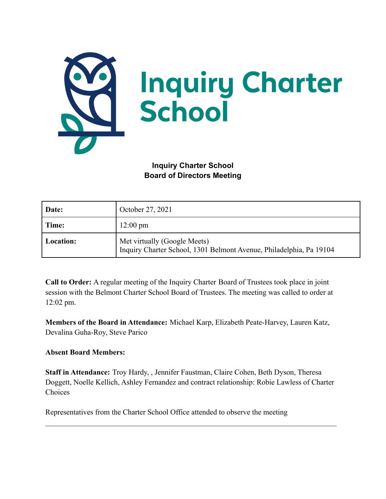

**Inquiry Charter School Board of Directors Meeting**

| Date:     | October 27, 2021                                                                                    |
|-----------|-----------------------------------------------------------------------------------------------------|
| Time:     | $12:00 \text{ pm}$                                                                                  |
| Location: | Met virtually (Google Meets)<br>Inquiry Charter School, 1301 Belmont Avenue, Philadelphia, Pa 19104 |

**Call to Order:** A regular meeting of the Inquiry Charter Board of Trustees took place in joint session with the Belmont Charter School Board of Trustees. The meeting was called to order at 12:02 pm.

**Members of the Board in Attendance:** Michael Karp, Elizabeth Peate-Harvey, Lauren Katz, Devalina Guha-Roy, Steve Parico

## **Absent Board Members:**

**Staff in Attendance:** Troy Hardy, , Jennifer Faustman, Claire Cohen, Beth Dyson, Theresa Doggett, Noelle Kellich, Ashley Fernandez and contract relationship: Robie Lawless of Charter Choices

 $\mathcal{L}_\mathcal{L} = \{ \mathcal{L}_\mathcal{L} = \{ \mathcal{L}_\mathcal{L} = \{ \mathcal{L}_\mathcal{L} = \{ \mathcal{L}_\mathcal{L} = \{ \mathcal{L}_\mathcal{L} = \{ \mathcal{L}_\mathcal{L} = \{ \mathcal{L}_\mathcal{L} = \{ \mathcal{L}_\mathcal{L} = \{ \mathcal{L}_\mathcal{L} = \{ \mathcal{L}_\mathcal{L} = \{ \mathcal{L}_\mathcal{L} = \{ \mathcal{L}_\mathcal{L} = \{ \mathcal{L}_\mathcal{L} = \{ \mathcal{L}_\mathcal{$ 

Representatives from the Charter School Office attended to observe the meeting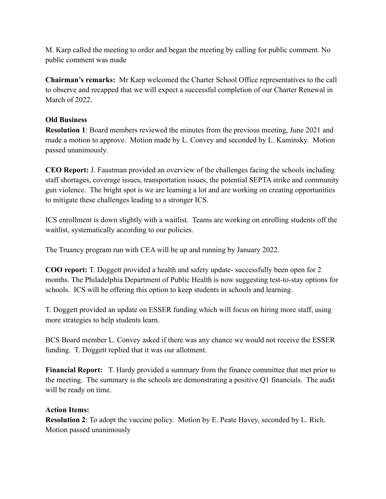M. Karp called the meeting to order and began the meeting by calling for public comment. No public comment was made

**Chairman's remarks:** Mr Karp welcomed the Charter School Office representatives to the call to observe and recapped that we will expect a successful completion of our Charter Renewal in March of 2022.

## **Old Business**

**Resolution 1**: Board members reviewed the minutes from the previous meeting, June 2021 and made a motion to approve. Motion made by L. Convey and seconded by L. Kaminsky. Motion passed unanimously.

**CEO Report:** J. Faustman provided an overview of the challenges facing the schools including staff shortages, coverage issues, transportation issues, the potential SEPTA strike and community gun violence. The bright spot is we are learning a lot and are working on creating opportunities to mitigate these challenges leading to a stronger ICS.

ICS enrollment is down slightly with a waitlist. Teams are working on enrolling students off the waitlist, systematically according to our policies.

The Truancy program run with CEA will be up and running by January 2022.

**COO report:** T. Doggett provided a health and safety update- successfully been open for 2 months. The Philadelphia Department of Public Health is now suggesting test-to-stay options for schools. ICS will be offering this option to keep students in schools and learning.

T. Doggett provided an update on ESSER funding which will focus on hiring more staff, using more strategies to help students learn.

BCS Board member L. Convey asked if there was any chance we would not receive the ESSER funding. T. Doggett replied that it was our allotment.

**Financial Report:** T. Hardy provided a summary from the finance committee that met prior to the meeting. The summary is the schools are demonstrating a positive Q1 financials. The audit will be ready on time.

## **Action Items:**

**Resolution 2**: To adopt the vaccine policy. Motion by E. Peate Havey, seconded by L. Rich. Motion passed unanimously